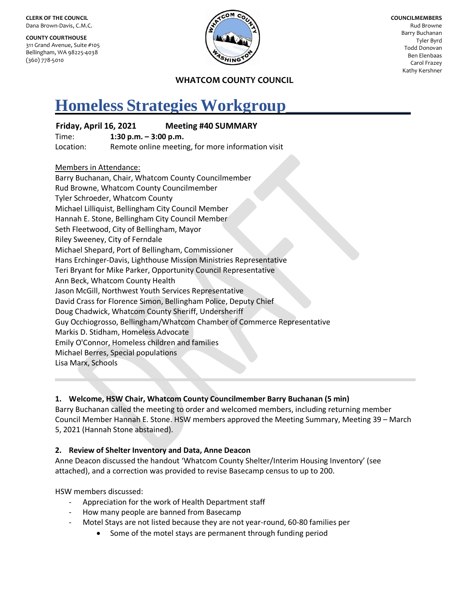**CLERK OF THE COUNCIL** Dana Brown-Davis, C.M.C.

**COUNTY COURTHOUSE** 311 Grand Avenue, Suite #105 Bellingham, WA 98225-4038 (360) 778-5010



**COUNCILMEMBERS** Rud Browne Barry Buchanan Tyler Byrd Todd Donovan Ben Elenbaas Carol Frazey Kathy Kershner

### **WHATCOM COUNTY COUNCIL**

# **Homeless Strategies Workgroup\_\_\_\_\_\_\_\_\_\_\_\_\_\_\_**

# **Friday, April 16, 2021 Meeting #40 SUMMARY**

Time: **1:30 p.m. – 3:00 p.m.** Location: Remote online meeting, for more information visit

### Members in Attendance:

Barry Buchanan, Chair, Whatcom County Councilmember Rud Browne, Whatcom County Councilmember Tyler Schroeder, Whatcom County Michael Lilliquist, Bellingham City Council Member Hannah E. Stone, Bellingham City Council Member Seth Fleetwood, City of Bellingham, Mayor Riley Sweeney, City of Ferndale Michael Shepard, Port of Bellingham, Commissioner Hans Erchinger-Davis, Lighthouse Mission Ministries Representative Teri Bryant for Mike Parker, Opportunity Council Representative Ann Beck, Whatcom County Health Jason McGill, Northwest Youth Services Representative David Crass for Florence Simon, Bellingham Police, Deputy Chief Doug Chadwick, Whatcom County Sheriff, Undersheriff Guy Occhiogrosso, Bellingham/Whatcom Chamber of Commerce Representative Markis D. Stidham, Homeless Advocate Emily O'Connor, Homeless children and families Michael Berres, Special populations Lisa Marx, Schools

# **1. Welcome, HSW Chair, Whatcom County Councilmember Barry Buchanan (5 min)**

Barry Buchanan called the meeting to order and welcomed members, including returning member Council Member Hannah E. Stone. HSW members approved the Meeting Summary, Meeting 39 – March 5, 2021 (Hannah Stone abstained).

# **2. Review of Shelter Inventory and Data, Anne Deacon**

Anne Deacon discussed the handout 'Whatcom County Shelter/Interim Housing Inventory' (see attached), and a correction was provided to revise Basecamp census to up to 200.

HSW members discussed:

- Appreciation for the work of Health Department staff
- How many people are banned from Basecamp
- Motel Stays are not listed because they are not year-round, 60-80 families per
	- Some of the motel stays are permanent through funding period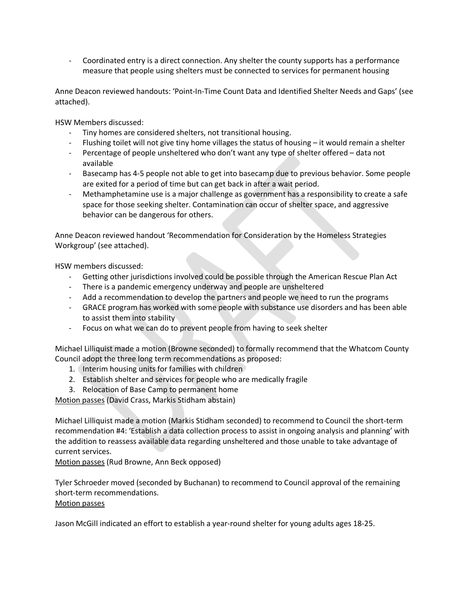- Coordinated entry is a direct connection. Any shelter the county supports has a performance measure that people using shelters must be connected to services for permanent housing

Anne Deacon reviewed handouts: 'Point-In-Time Count Data and Identified Shelter Needs and Gaps' (see attached).

HSW Members discussed:

- Tiny homes are considered shelters, not transitional housing.
- Flushing toilet will not give tiny home villages the status of housing it would remain a shelter
- Percentage of people unsheltered who don't want any type of shelter offered data not available
- Basecamp has 4-5 people not able to get into basecamp due to previous behavior. Some people are exited for a period of time but can get back in after a wait period.
- Methamphetamine use is a major challenge as government has a responsibility to create a safe space for those seeking shelter. Contamination can occur of shelter space, and aggressive behavior can be dangerous for others.

Anne Deacon reviewed handout 'Recommendation for Consideration by the Homeless Strategies Workgroup' (see attached).

HSW members discussed:

- Getting other jurisdictions involved could be possible through the American Rescue Plan Act
- There is a pandemic emergency underway and people are unsheltered
- Add a recommendation to develop the partners and people we need to run the programs
- GRACE program has worked with some people with substance use disorders and has been able to assist them into stability
- Focus on what we can do to prevent people from having to seek shelter

Michael Lilliquist made a motion (Browne seconded) to formally recommend that the Whatcom County Council adopt the three long term recommendations as proposed:

- 1. Interim housing units for families with children
- 2. Establish shelter and services for people who are medically fragile
- 3. Relocation of Base Camp to permanent home

Motion passes (David Crass, Markis Stidham abstain)

Michael Lilliquist made a motion (Markis Stidham seconded) to recommend to Council the short-term recommendation #4: 'Establish a data collection process to assist in ongoing analysis and planning' with the addition to reassess available data regarding unsheltered and those unable to take advantage of current services.

Motion passes (Rud Browne, Ann Beck opposed)

Tyler Schroeder moved (seconded by Buchanan) to recommend to Council approval of the remaining short-term recommendations. Motion passes

Jason McGill indicated an effort to establish a year-round shelter for young adults ages 18-25.